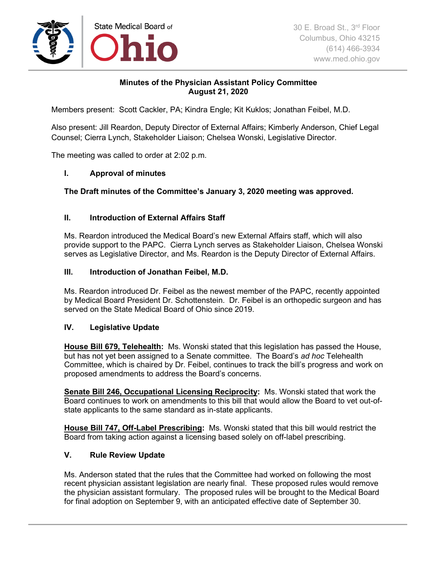

# **Minutes of the Physician Assistant Policy Committee August 21, 2020**

Members present: Scott Cackler, PA; Kindra Engle; Kit Kuklos; Jonathan Feibel, M.D.

Also present: Jill Reardon, Deputy Director of External Affairs; Kimberly Anderson, Chief Legal Counsel; Cierra Lynch, Stakeholder Liaison; Chelsea Wonski, Legislative Director.

The meeting was called to order at 2:02 p.m.

# **I. Approval of minutes**

# **The Draft minutes of the Committee's January 3, 2020 meeting was approved.**

# **II. Introduction of External Affairs Staff**

Ms. Reardon introduced the Medical Board's new External Affairs staff, which will also provide support to the PAPC. Cierra Lynch serves as Stakeholder Liaison, Chelsea Wonski serves as Legislative Director, and Ms. Reardon is the Deputy Director of External Affairs.

### **III. Introduction of Jonathan Feibel, M.D.**

Ms. Reardon introduced Dr. Feibel as the newest member of the PAPC, recently appointed by Medical Board President Dr. Schottenstein. Dr. Feibel is an orthopedic surgeon and has served on the State Medical Board of Ohio since 2019.

### **IV. Legislative Update**

**House Bill 679, Telehealth:** Ms. Wonski stated that this legislation has passed the House, but has not yet been assigned to a Senate committee. The Board's *ad hoc* Telehealth Committee, which is chaired by Dr. Feibel, continues to track the bill's progress and work on proposed amendments to address the Board's concerns.

**Senate Bill 246, Occupational Licensing Reciprocity:** Ms. Wonski stated that work the Board continues to work on amendments to this bill that would allow the Board to vet out-ofstate applicants to the same standard as in-state applicants.

**House Bill 747, Off-Label Prescribing:** Ms. Wonski stated that this bill would restrict the Board from taking action against a licensing based solely on off-label prescribing.

### **V. Rule Review Update**

Ms. Anderson stated that the rules that the Committee had worked on following the most recent physician assistant legislation are nearly final. These proposed rules would remove the physician assistant formulary. The proposed rules will be brought to the Medical Board for final adoption on September 9, with an anticipated effective date of September 30.